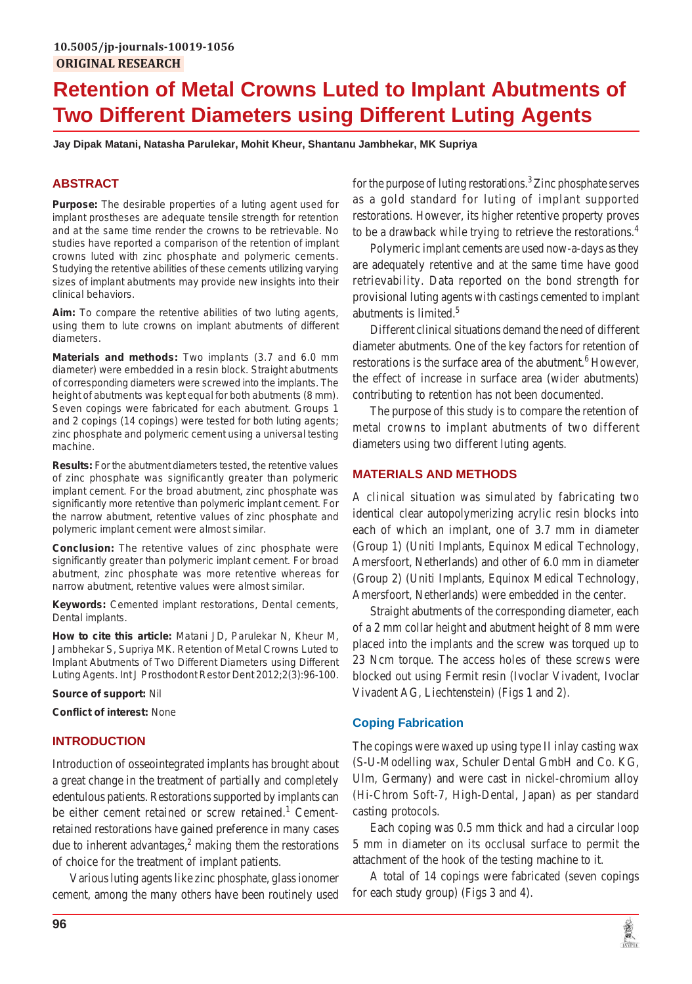# **Retention of Metal Crowns Luted to Implant Abutments of Two Different Diameters using Different Luting Agents**

**Jay Dipak Matani, Natasha Parulekar, Mohit Kheur, Shantanu Jambhekar, MK Supriya**

# **ABSTRACT**

**Purpose:** The desirable properties of a luting agent used for implant prostheses are adequate tensile strength for retention and at the same time render the crowns to be retrievable. No studies have reported a comparison of the retention of implant crowns luted with zinc phosphate and polymeric cements. Studying the retentive abilities of these cements utilizing varying sizes of implant abutments may provide new insights into their clinical behaviors.

**Aim:** To compare the retentive abilities of two luting agents, using them to lute crowns on implant abutments of different diameters.

**Materials and methods:** Two implants (3.7 and 6.0 mm diameter) were embedded in a resin block. Straight abutments of corresponding diameters were screwed into the implants. The height of abutments was kept equal for both abutments (8 mm). Seven copings were fabricated for each abutment. Groups 1 and 2 copings (14 copings) were tested for both luting agents; zinc phosphate and polymeric cement using a universal testing machine.

**Results:** For the abutment diameters tested, the retentive values of zinc phosphate was significantly greater than polymeric implant cement. For the broad abutment, zinc phosphate was significantly more retentive than polymeric implant cement. For the narrow abutment, retentive values of zinc phosphate and polymeric implant cement were almost similar.

**Conclusion:** The retentive values of zinc phosphate were significantly greater than polymeric implant cement. For broad abutment, zinc phosphate was more retentive whereas for narrow abutment, retentive values were almost similar.

**Keywords:** Cemented implant restorations, Dental cements, Dental implants.

**How to cite this article:** Matani JD, Parulekar N, Kheur M, Jambhekar S, Supriya MK. Retention of Metal Crowns Luted to Implant Abutments of Two Different Diameters using Different Luting Agents. Int J Prosthodont Restor Dent 2012;2(3):96-100.

**Source of support:** Nil

**Conflict of interest:** None

## **INTRODUCTION**

Introduction of osseointegrated implants has brought about a great change in the treatment of partially and completely edentulous patients. Restorations supported by implants can be either cement retained or screw retained.<sup>1</sup> Cementretained restorations have gained preference in many cases due to inherent advantages, $<sup>2</sup>$  making them the restorations</sup> of choice for the treatment of implant patients.

Various luting agents like zinc phosphate, glass ionomer cement, among the many others have been routinely used

for the purpose of luting restorations.<sup>3</sup> Zinc phosphate serves as a gold standard for luting of implant supported restorations. However, its higher retentive property proves to be a drawback while trying to retrieve the restorations.<sup>4</sup>

Polymeric implant cements are used now-a-days as they are adequately retentive and at the same time have good retrievability. Data reported on the bond strength for provisional luting agents with castings cemented to implant abutments is limited.5

Different clinical situations demand the need of different diameter abutments. One of the key factors for retention of restorations is the surface area of the abutment.<sup>6</sup> However, the effect of increase in surface area (wider abutments) contributing to retention has not been documented.

The purpose of this study is to compare the retention of metal crowns to implant abutments of two different diameters using two different luting agents.

### **MATERIALS AND METHODS**

A clinical situation was simulated by fabricating two identical clear autopolymerizing acrylic resin blocks into each of which an implant, one of 3.7 mm in diameter (Group 1) (Uniti Implants, Equinox Medical Technology, Amersfoort, Netherlands) and other of 6.0 mm in diameter (Group 2) (Uniti Implants, Equinox Medical Technology, Amersfoort, Netherlands) were embedded in the center.

Straight abutments of the corresponding diameter, each of a 2 mm collar height and abutment height of 8 mm were placed into the implants and the screw was torqued up to 23 Ncm torque. The access holes of these screws were blocked out using Fermit resin (Ivoclar Vivadent, Ivoclar Vivadent AG, Liechtenstein) (Figs 1 and 2).

## **Coping Fabrication**

The copings were waxed up using type II inlay casting wax (S-U-Modelling wax, Schuler Dental GmbH and Co. KG, Ulm, Germany) and were cast in nickel-chromium alloy (Hi-Chrom Soft-7, High-Dental, Japan) as per standard casting protocols.

Each coping was 0.5 mm thick and had a circular loop 5 mm in diameter on its occlusal surface to permit the attachment of the hook of the testing machine to it.

A total of 14 copings were fabricated (seven copings for each study group) (Figs 3 and 4).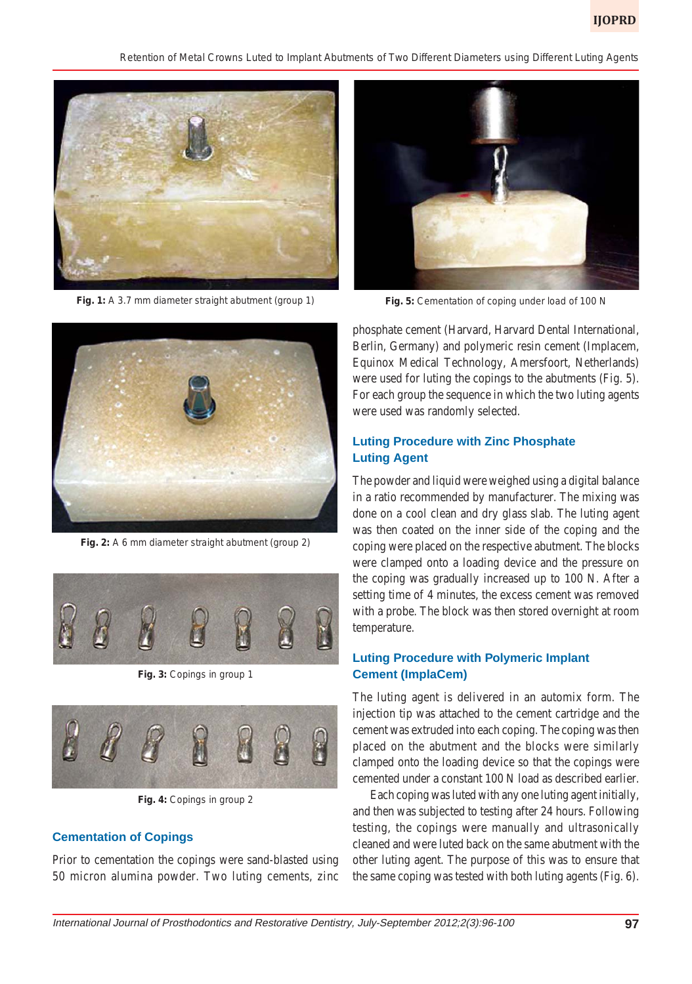*Retention of Metal Crowns Luted to Implant Abutments of Two Different Diameters using Different Luting Agents*



**Fig. 1:** A 3.7 mm diameter straight abutment (group 1)



**Fig. 2:** A 6 mm diameter straight abutment (group 2)



**Fig. 3:** Copings in group 1



**Fig. 4:** Copings in group 2

#### **Cementation of Copings**

Prior to cementation the copings were sand-blasted using 50 micron alumina powder. Two luting cements, zinc



**Fig. 5:** Cementation of coping under load of 100 N

phosphate cement (Harvard, Harvard Dental International, Berlin, Germany) and polymeric resin cement (Implacem, Equinox Medical Technology, Amersfoort, Netherlands) were used for luting the copings to the abutments (Fig. 5). For each group the sequence in which the two luting agents were used was randomly selected.

## **Luting Procedure with Zinc Phosphate Luting Agent**

The powder and liquid were weighed using a digital balance in a ratio recommended by manufacturer. The mixing was done on a cool clean and dry glass slab. The luting agent was then coated on the inner side of the coping and the coping were placed on the respective abutment. The blocks were clamped onto a loading device and the pressure on the coping was gradually increased up to 100 N. After a setting time of 4 minutes, the excess cement was removed with a probe. The block was then stored overnight at room temperature.

## **Luting Procedure with Polymeric Implant Cement (ImplaCem)**

The luting agent is delivered in an automix form. The injection tip was attached to the cement cartridge and the cement was extruded into each coping. The coping was then placed on the abutment and the blocks were similarly clamped onto the loading device so that the copings were cemented under a constant 100 N load as described earlier.

Each coping was luted with any one luting agent initially, and then was subjected to testing after 24 hours. Following testing, the copings were manually and ultrasonically cleaned and were luted back on the same abutment with the other luting agent. The purpose of this was to ensure that the same coping was tested with both luting agents (Fig. 6).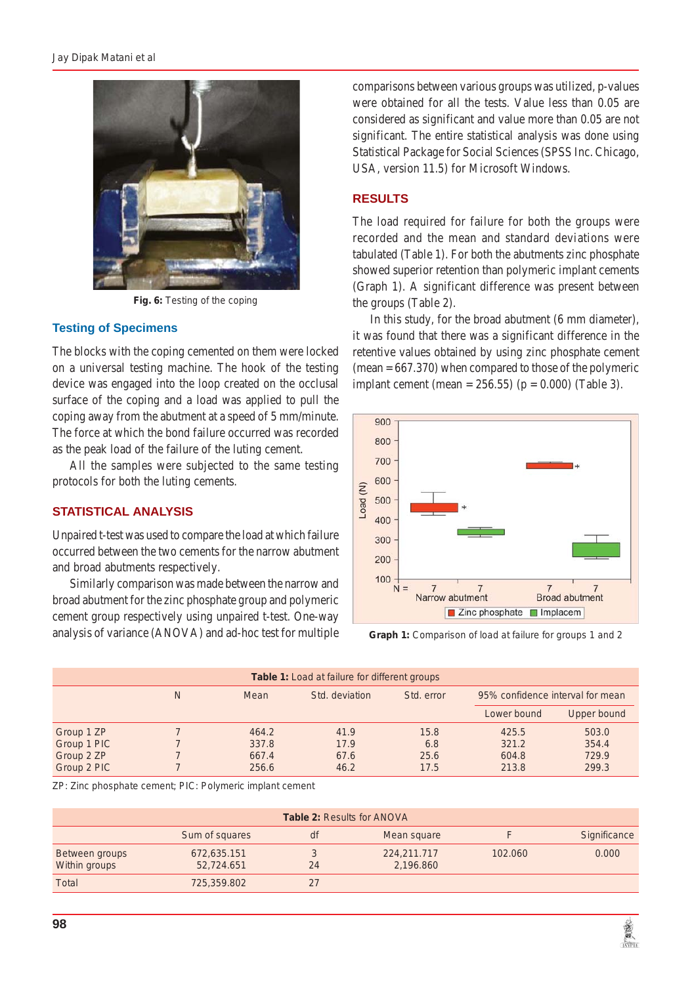

**Fig. 6:** Testing of the coping

#### **Testing of Specimens**

The blocks with the coping cemented on them were locked on a universal testing machine. The hook of the testing device was engaged into the loop created on the occlusal surface of the coping and a load was applied to pull the coping away from the abutment at a speed of 5 mm/minute. The force at which the bond failure occurred was recorded as the peak load of the failure of the luting cement.

All the samples were subjected to the same testing protocols for both the luting cements.

#### **STATISTICAL ANALYSIS**

Unpaired t-test was used to compare the load at which failure occurred between the two cements for the narrow abutment and broad abutments respectively.

Similarly comparison was made between the narrow and broad abutment for the zinc phosphate group and polymeric cement group respectively using unpaired t-test. One-way analysis of variance (ANOVA) and ad-hoc test for multiple

comparisons between various groups was utilized, p-values were obtained for all the tests. Value less than 0.05 are considered as significant and value more than 0.05 are not significant. The entire statistical analysis was done using Statistical Package for Social Sciences (SPSS Inc. Chicago, USA, version 11.5) for Microsoft Windows.

## **RESULTS**

The load required for failure for both the groups were recorded and the mean and standard deviations were tabulated (Table 1). For both the abutments zinc phosphate showed superior retention than polymeric implant cements (Graph 1). A significant difference was present between the groups (Table 2).

In this study, for the broad abutment (6 mm diameter), it was found that there was a significant difference in the retentive values obtained by using zinc phosphate cement  $(mean = 667.370)$  when compared to those of the polymeric implant cement (mean =  $256.55$ ) (p = 0.000) (Table 3).



**Graph 1:** Comparison of load at failure for groups 1 and 2

| <b>Table 1:</b> Load at failure for different groups |   |       |                |            |                                  |                    |  |
|------------------------------------------------------|---|-------|----------------|------------|----------------------------------|--------------------|--|
|                                                      |   |       |                |            |                                  |                    |  |
|                                                      | Ν | Mean  | Std. deviation | Std. error | 95% confidence interval for mean |                    |  |
|                                                      |   |       |                |            | Lower bound                      | <b>Upper bound</b> |  |
| Group 1 ZP                                           |   | 464.2 | 41.9           | 15.8       | 425.5                            | 503.0              |  |
| Group 1 PIC                                          |   | 337.8 | 17.9           | 6.8        | 321.2                            | 354.4              |  |
| Group 2 ZP                                           |   | 667.4 | 67.6           | 25.6       | 604.8                            | 729.9              |  |
| Group 2 PIC                                          |   | 256.6 | 46.2           | 17.5       | 213.8                            | 299.3              |  |

ZP: Zinc phosphate cement; PIC: Polymeric implant cement

| <b>Table 2: Results for ANOVA</b> |                           |    |                          |         |              |  |  |
|-----------------------------------|---------------------------|----|--------------------------|---------|--------------|--|--|
|                                   | Sum of squares            | df | Mean square              |         | Significance |  |  |
| Between groups<br>Within groups   | 672,635.151<br>52,724.651 | 24 | 224,211.717<br>2,196.860 | 102.060 | 0.000        |  |  |
| <b>Total</b>                      | 725,359.802               | 27 |                          |         |              |  |  |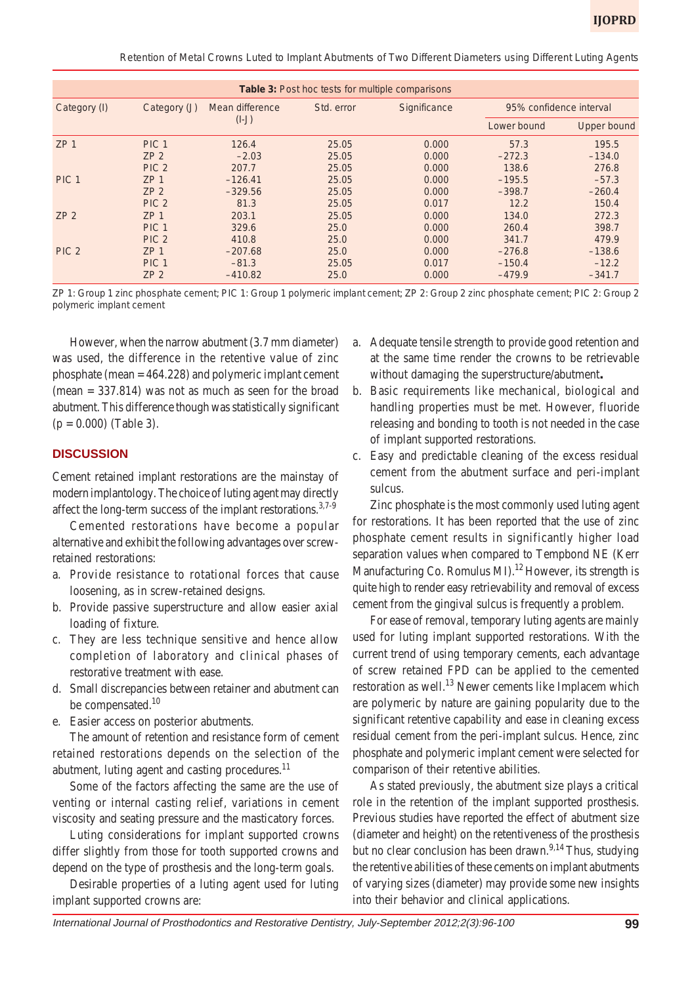*Retention of Metal Crowns Luted to Implant Abutments of Two Different Diameters using Different Luting Agents*

| <b>Table 3: Post hoc tests for multiple comparisons</b> |                  |                            |            |              |                         |                    |  |
|---------------------------------------------------------|------------------|----------------------------|------------|--------------|-------------------------|--------------------|--|
| Category (I)                                            | Category (J)     | Mean difference<br>$(I-J)$ | Std. error | Significance | 95% confidence interval |                    |  |
|                                                         |                  |                            |            |              | Lower bound             | <b>Upper bound</b> |  |
| ZP <sub>1</sub>                                         | PIC <sub>1</sub> | 126.4                      | 25.05      | 0.000        | 57.3                    | 195.5              |  |
|                                                         | ZP2              | $-2.03$                    | 25.05      | 0.000        | $-272.3$                | $-134.0$           |  |
|                                                         | PIC <sub>2</sub> | 207.7                      | 25.05      | 0.000        | 138.6                   | 276.8              |  |
| PIC <sub>1</sub>                                        | ZP <sub>1</sub>  | $-126.41$                  | 25.05      | 0.000        | $-195.5$                | $-57.3$            |  |
|                                                         | ZP2              | $-329.56$                  | 25.05      | 0.000        | $-398.7$                | $-260.4$           |  |
|                                                         | PIC <sub>2</sub> | 81.3                       | 25.05      | 0.017        | 12.2                    | 150.4              |  |
| ZP2                                                     | ZP <sub>1</sub>  | 203.1                      | 25.05      | 0.000        | 134.0                   | 272.3              |  |
|                                                         | PIC <sub>1</sub> | 329.6                      | 25.0       | 0.000        | 260.4                   | 398.7              |  |
|                                                         | PIC <sub>2</sub> | 410.8                      | 25.0       | 0.000        | 341.7                   | 479.9              |  |
| PIC <sub>2</sub>                                        | ZP <sub>1</sub>  | $-207.68$                  | 25.0       | 0.000        | $-276.8$                | $-138.6$           |  |
|                                                         | PIC <sub>1</sub> | $-81.3$                    | 25.05      | 0.017        | $-150.4$                | $-12.2$            |  |
|                                                         | ZP2              | $-410.82$                  | 25.0       | 0.000        | $-479.9$                | $-341.7$           |  |

ZP 1: Group 1 zinc phosphate cement; PIC 1: Group 1 polymeric implant cement; ZP 2: Group 2 zinc phosphate cement; PIC 2: Group 2 polymeric implant cement

However, when the narrow abutment (3.7 mm diameter) was used, the difference in the retentive value of zinc phosphate (mean = 464.228) and polymeric implant cement  $(mean = 337.814)$  was not as much as seen for the broad abutment. This difference though was statistically significant  $(p = 0.000)$  (Table 3).

#### **DISCUSSION**

Cement retained implant restorations are the mainstay of modern implantology. The choice of luting agent may directly affect the long-term success of the implant restorations.<sup>3,7-9</sup>

Cemented restorations have become a popular alternative and exhibit the following advantages over screwretained restorations:

- a. Provide resistance to rotational forces that cause loosening, as in screw-retained designs.
- b. Provide passive superstructure and allow easier axial loading of fixture.
- c. They are less technique sensitive and hence allow completion of laboratory and clinical phases of restorative treatment with ease.
- d. Small discrepancies between retainer and abutment can be compensated.<sup>10</sup>
- e. Easier access on posterior abutments.

The amount of retention and resistance form of cement retained restorations depends on the selection of the abutment, luting agent and casting procedures.<sup>11</sup>

Some of the factors affecting the same are the use of venting or internal casting relief, variations in cement viscosity and seating pressure and the masticatory forces.

Luting considerations for implant supported crowns differ slightly from those for tooth supported crowns and depend on the type of prosthesis and the long-term goals.

Desirable properties of a luting agent used for luting implant supported crowns are:

- a. Adequate tensile strength to provide good retention and at the same time render the crowns to be retrievable without damaging the superstructure/abutment**.**
- b. Basic requirements like mechanical, biological and handling properties must be met. However, fluoride releasing and bonding to tooth is not needed in the case of implant supported restorations.
- c. Easy and predictable cleaning of the excess residual cement from the abutment surface and peri-implant sulcus.

Zinc phosphate is the most commonly used luting agent for restorations. It has been reported that the use of zinc phosphate cement results in significantly higher load separation values when compared to Tempbond NE (Kerr Manufacturing Co. Romulus MI $^{12}$  However, its strength is quite high to render easy retrievability and removal of excess cement from the gingival sulcus is frequently a problem.

For ease of removal, temporary luting agents are mainly used for luting implant supported restorations. With the current trend of using temporary cements, each advantage of screw retained FPD can be applied to the cemented restoration as well.<sup>13</sup> Newer cements like Implacem which are polymeric by nature are gaining popularity due to the significant retentive capability and ease in cleaning excess residual cement from the peri-implant sulcus. Hence, zinc phosphate and polymeric implant cement were selected for comparison of their retentive abilities.

As stated previously, the abutment size plays a critical role in the retention of the implant supported prosthesis. Previous studies have reported the effect of abutment size (diameter and height) on the retentiveness of the prosthesis but no clear conclusion has been drawn.<sup>9,14</sup> Thus, studying the retentive abilities of these cements on implant abutments of varying sizes (diameter) may provide some new insights into their behavior and clinical applications.